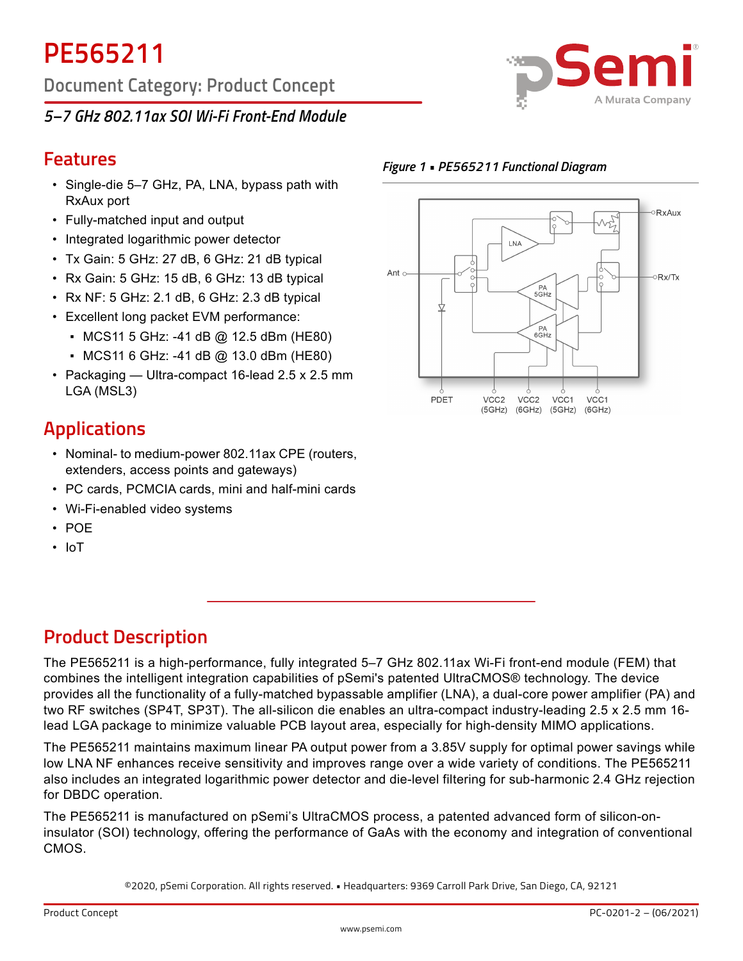**Document Category: Product Concept**

## *5–7 GHz 802.11ax SOI Wi-Fi Front-End Module*



#### *Figure 1 • PE565211 Functional Diagram*



## **Features**

- Single-die 5–7 GHz, PA, LNA, bypass path with RxAux port
- Fully-matched input and output
- Integrated logarithmic power detector
- Tx Gain: 5 GHz: 27 dB, 6 GHz: 21 dB typical
- Rx Gain: 5 GHz: 15 dB, 6 GHz: 13 dB typical
- $\cdot$  Rx NF: 5 GHz: 2.1 dB, 6 GHz: 2.3 dB typical
- Excellent long packet EVM performance:
	- MCS11 5 GHz: -41 dB @ 12.5 dBm (HE80)
	- MCS11 6 GHz: -41 dB @ 13.0 dBm (HE80)
- Packaging Ultra-compact 16-lead 2.5 x 2.5 mm LGA (MSL3)

# **Applications**

- Nominal- to medium-power 802.11ax CPE (routers, extenders, access points and gateways)
- PC cards, PCMCIA cards, mini and half-mini cards
- Wi-Fi-enabled video systems
- POE
- IoT

# **Product Description**

The PE565211 is a high-performance, fully integrated 5–7 GHz 802.11ax Wi-Fi front-end module (FEM) that combines the intelligent integration capabilities of pSemi's patented UltraCMOS® technology. The device provides all the functionality of a fully-matched bypassable amplifier (LNA), a dual-core power amplifier (PA) and two RF switches (SP4T, SP3T). The all-silicon die enables an ultra-compact industry-leading 2.5 x 2.5 mm 16 lead LGA package to minimize valuable PCB layout area, especially for high-density MIMO applications.

The PE565211 maintains maximum linear PA output power from a 3.85V supply for optimal power savings while low LNA NF enhances receive sensitivity and improves range over a wide variety of conditions. The PE565211 also includes an integrated logarithmic power detector and die-level filtering for sub-harmonic 2.4 GHz rejection for DBDC operation.

The PE565211 is manufactured on pSemi's UltraCMOS process, a patented advanced form of silicon-oninsulator (SOI) technology, offering the performance of GaAs with the economy and integration of conventional CMOS.

©2020, pSemi Corporation. All rights reserved. • Headquarters: 9369 Carroll Park Drive, San Diego, CA, 92121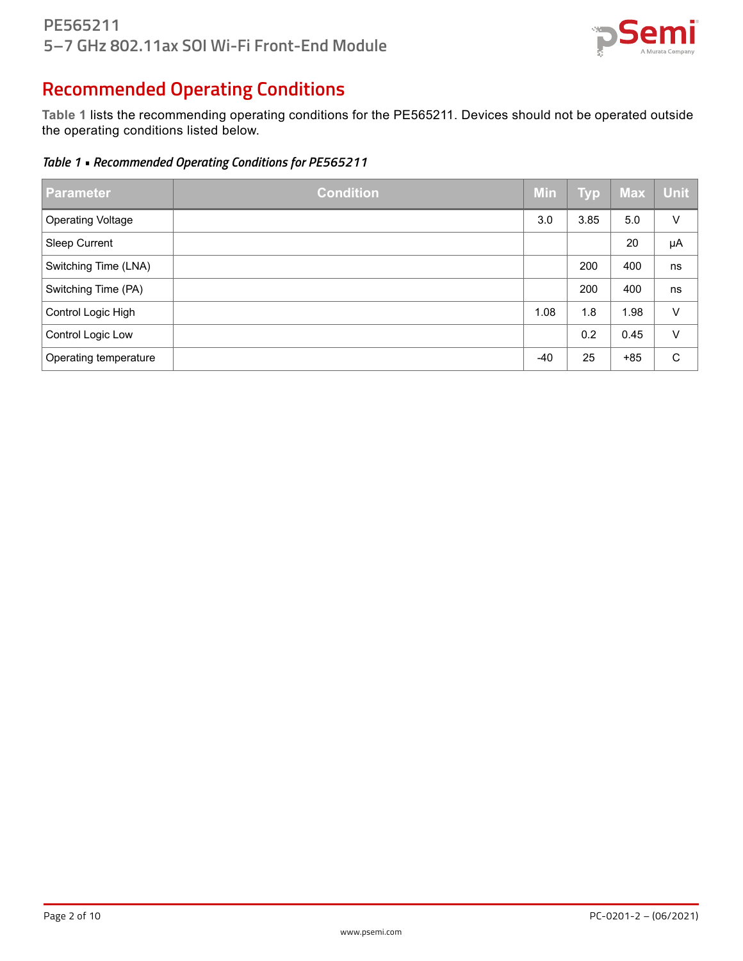

# **Recommended Operating Conditions**

**Table 1** lists the recommending operating conditions for the PE565211. Devices should not be operated outside the operating conditions listed below.

*Table 1 • Recommended Operating Conditions for PE565211*

| <b>Parameter</b>         | <b>Condition</b> | <b>Min</b> | <b>Typ</b> | <b>Max</b> | <b>Unit</b> |
|--------------------------|------------------|------------|------------|------------|-------------|
| <b>Operating Voltage</b> |                  | 3.0        | 3.85       | 5.0        | V           |
| <b>Sleep Current</b>     |                  |            |            | 20         | μA          |
| Switching Time (LNA)     |                  |            | 200        | 400        | ns          |
| Switching Time (PA)      |                  |            | 200        | 400        | ns          |
| Control Logic High       |                  | 1.08       | 1.8        | 1.98       | V           |
| Control Logic Low        |                  |            | 0.2        | 0.45       | V           |
| Operating temperature    |                  | $-40$      | 25         | $+85$      | C           |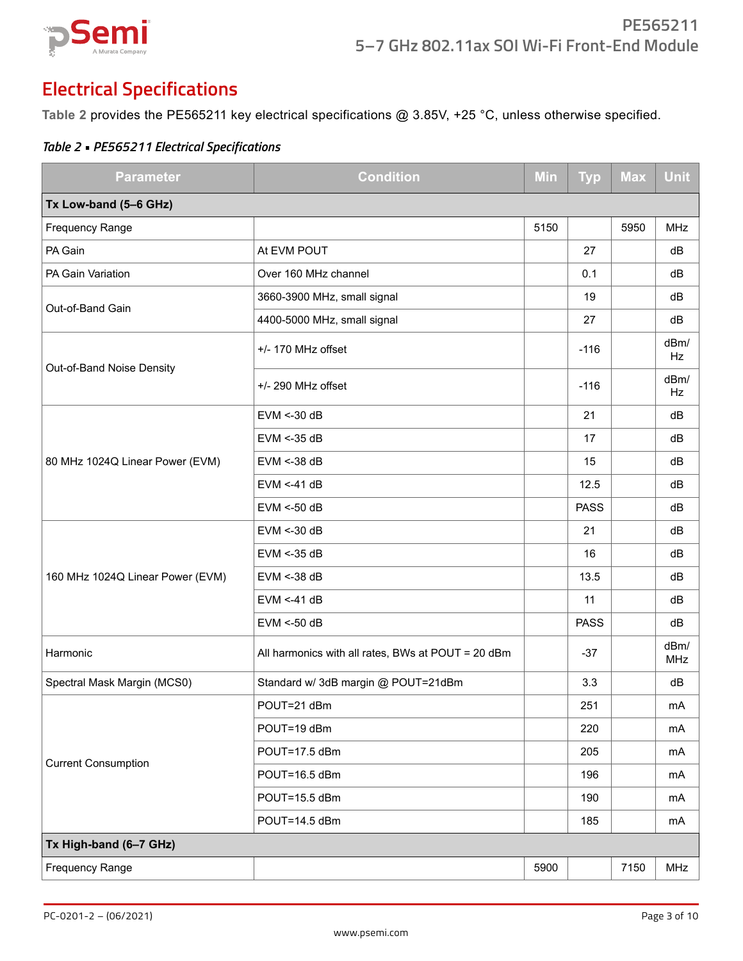

# **Electrical Specifications**

**Table 2** provides the PE565211 key electrical specifications @ 3.85V, +25 °C, unless otherwise specified.

| <b>Parameter</b>                 | <b>Condition</b>                                   | <b>Min</b> | <b>Typ</b>  | <b>Max</b> | <b>Unit</b>        |
|----------------------------------|----------------------------------------------------|------------|-------------|------------|--------------------|
| Tx Low-band (5-6 GHz)            |                                                    |            |             |            |                    |
| Frequency Range                  |                                                    | 5150       |             | 5950       | <b>MHz</b>         |
| PA Gain                          | At EVM POUT                                        |            | 27          |            | dB                 |
| PA Gain Variation                | Over 160 MHz channel                               |            | 0.1         |            | dB                 |
|                                  | 3660-3900 MHz, small signal                        |            | 19          |            | dB                 |
| Out-of-Band Gain                 | 4400-5000 MHz, small signal                        |            | 27          |            | dB                 |
|                                  | +/- 170 MHz offset                                 |            | $-116$      |            | dBm/<br>Hz         |
| Out-of-Band Noise Density        | +/- 290 MHz offset                                 |            | $-116$      |            | dBm/<br>Hz         |
|                                  | $EVM < -30 dB$                                     |            | 21          |            | dB                 |
|                                  | EVM <- 35 dB                                       |            | 17          |            | dB                 |
| 80 MHz 1024Q Linear Power (EVM)  | EVM <- 38 dB                                       |            | 15          |            | dB                 |
|                                  | $EVM < -41 dB$                                     |            | 12.5        |            | dB                 |
|                                  | $EVM < -50$ dB                                     |            | <b>PASS</b> |            | dB                 |
|                                  | $EVM < -30 dB$                                     |            | 21          |            | dB                 |
|                                  | EVM <- 35 dB                                       |            | 16          |            | dB                 |
| 160 MHz 1024Q Linear Power (EVM) | EVM <- 38 dB                                       |            | 13.5        |            | dB                 |
|                                  | $EVM < -41 dB$                                     |            | 11          |            | dB                 |
|                                  | EVM <- 50 dB                                       |            | <b>PASS</b> |            | dB                 |
| Harmonic                         | All harmonics with all rates, BWs at POUT = 20 dBm |            | $-37$       |            | dBm/<br><b>MHz</b> |
| Spectral Mask Margin (MCS0)      | Standard w/ 3dB margin @ POUT=21dBm                |            | 3.3         |            | dB                 |
|                                  | POUT=21 dBm                                        |            | 251         |            | mA                 |
|                                  | POUT=19 dBm                                        |            | 220         |            | mA                 |
| <b>Current Consumption</b>       | POUT=17.5 dBm                                      |            | 205         |            | mA                 |
|                                  | POUT=16.5 dBm                                      |            | 196         |            | mA                 |
|                                  | POUT=15.5 dBm                                      |            | 190         |            | mA                 |
|                                  | POUT=14.5 dBm                                      |            | 185         |            | mA                 |
| Tx High-band (6-7 GHz)           |                                                    |            |             |            |                    |
| <b>Frequency Range</b>           |                                                    | 5900       |             | 7150       | <b>MHz</b>         |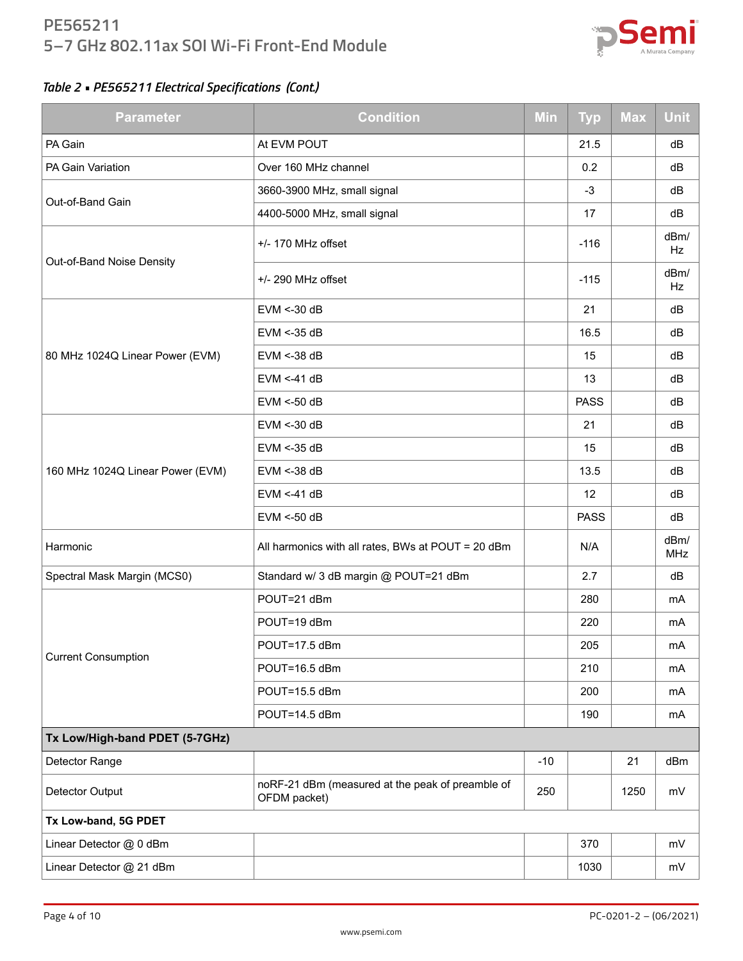### **PE565211 5–7 GHz 802.11ax SOI Wi-Fi Front-End Module**



| <b>Parameter</b>                 | <b>Condition</b>                                                 | <b>Min</b> | <b>Typ</b>  | <b>Max</b> | <b>Unit</b>        |
|----------------------------------|------------------------------------------------------------------|------------|-------------|------------|--------------------|
| PA Gain                          | At EVM POUT                                                      |            | 21.5        |            | dB                 |
| PA Gain Variation                | Over 160 MHz channel                                             |            | 0.2         |            | dB                 |
|                                  | 3660-3900 MHz, small signal                                      |            | $-3$        |            | dB                 |
| Out-of-Band Gain                 | 4400-5000 MHz, small signal                                      |            | 17          |            | dB                 |
|                                  | +/- 170 MHz offset                                               |            | $-116$      |            | dBm/<br>Hz         |
| Out-of-Band Noise Density        | $+/- 290$ MHz offset                                             |            | $-115$      |            | dBm/<br>Hz         |
|                                  | $EVM < -30 dB$                                                   |            | 21          |            | dB                 |
|                                  | EVM <- 35 dB                                                     |            | 16.5        |            | dB                 |
| 80 MHz 1024Q Linear Power (EVM)  | EVM <- 38 dB                                                     |            | 15          |            | dB                 |
|                                  | $EVM < -41 dB$                                                   |            | 13          |            | dB                 |
|                                  | $EVM < -50$ dB                                                   |            | <b>PASS</b> |            | dB                 |
|                                  | $EVM < -30 dB$                                                   |            | 21          |            | dB                 |
|                                  | EVM <- 35 dB                                                     |            | 15          |            | dB                 |
| 160 MHz 1024Q Linear Power (EVM) | EVM <- 38 dB                                                     |            | 13.5        |            | dB                 |
|                                  | $EVM < -41 dB$                                                   |            | 12          |            | dB                 |
|                                  | EVM <- 50 dB                                                     |            | <b>PASS</b> |            | dB                 |
| Harmonic                         | All harmonics with all rates, BWs at POUT = 20 dBm               |            | N/A         |            | dBm/<br><b>MHz</b> |
| Spectral Mask Margin (MCS0)      | Standard w/ 3 dB margin @ POUT=21 dBm                            |            | 2.7         |            | dB                 |
|                                  | POUT=21 dBm                                                      |            | 280         |            | mA                 |
|                                  | POUT=19 dBm                                                      |            | 220         |            | mA                 |
| <b>Current Consumption</b>       | POUT=17.5 dBm                                                    |            | 205         |            | mA                 |
|                                  | POUT=16.5 dBm                                                    |            | 210         |            | mA                 |
|                                  | POUT=15.5 dBm                                                    |            | 200         |            | mA                 |
|                                  | POUT=14.5 dBm                                                    |            | 190         |            | mA                 |
| Tx Low/High-band PDET (5-7GHz)   |                                                                  |            |             |            |                    |
| Detector Range                   |                                                                  | $-10$      |             | 21         | dBm                |
| Detector Output                  | noRF-21 dBm (measured at the peak of preamble of<br>OFDM packet) | 250        |             | 1250       | mV                 |
| Tx Low-band, 5G PDET             |                                                                  |            |             |            |                    |
| Linear Detector @ 0 dBm          |                                                                  |            | 370         |            | mV                 |
| Linear Detector @ 21 dBm         |                                                                  |            | 1030        |            | mV                 |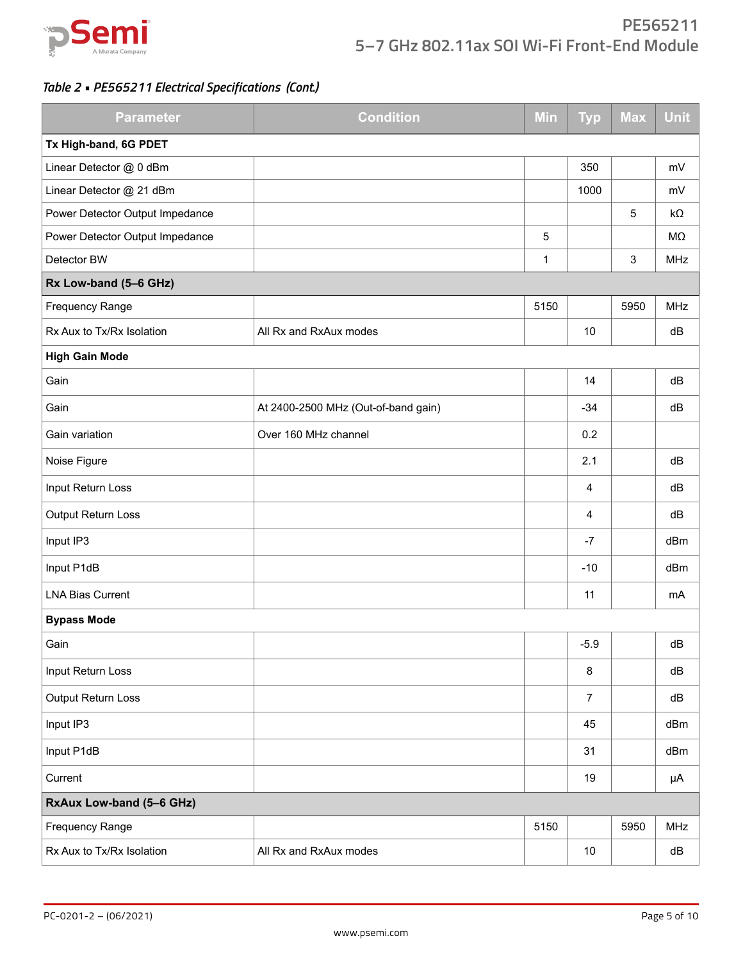

| <b>Parameter</b>                | <b>Condition</b>                    | <b>Min</b>  | <b>Typ</b>     | <b>Max</b> | <b>Unit</b> |
|---------------------------------|-------------------------------------|-------------|----------------|------------|-------------|
| Tx High-band, 6G PDET           |                                     |             |                |            |             |
| Linear Detector @ 0 dBm         |                                     |             | 350            |            | mV          |
| Linear Detector @ 21 dBm        |                                     |             | 1000           |            | mV          |
| Power Detector Output Impedance |                                     |             |                | 5          | kΩ          |
| Power Detector Output Impedance |                                     | $\sqrt{5}$  |                |            | MΩ          |
| Detector BW                     |                                     | $\mathbf 1$ |                | 3          | <b>MHz</b>  |
| Rx Low-band (5-6 GHz)           |                                     |             |                |            |             |
| <b>Frequency Range</b>          |                                     | 5150        |                | 5950       | <b>MHz</b>  |
| Rx Aux to Tx/Rx Isolation       | All Rx and RxAux modes              |             | 10             |            | dB          |
| <b>High Gain Mode</b>           |                                     |             |                |            |             |
| Gain                            |                                     |             | 14             |            | dB          |
| Gain                            | At 2400-2500 MHz (Out-of-band gain) |             | $-34$          |            | dB          |
| Gain variation                  | Over 160 MHz channel                |             | 0.2            |            |             |
| Noise Figure                    |                                     |             | 2.1            |            | dB          |
| Input Return Loss               |                                     |             | 4              |            | dB          |
| Output Return Loss              |                                     |             | 4              |            | dB          |
| Input IP3                       |                                     |             | $-7$           |            | dBm         |
| Input P1dB                      |                                     |             | $-10$          |            | dBm         |
| <b>LNA Bias Current</b>         |                                     |             | 11             |            | mA          |
| <b>Bypass Mode</b>              |                                     |             |                |            |             |
| Gain                            |                                     |             | $-5.9$         |            | dB          |
| Input Return Loss               |                                     |             | 8              |            | dB          |
| Output Return Loss              |                                     |             | $\overline{7}$ |            | dB          |
| Input IP3                       |                                     |             | 45             |            | dBm         |
| Input P1dB                      |                                     |             | 31             |            | dBm         |
| Current                         |                                     |             | 19             |            | μA          |
| RxAux Low-band (5-6 GHz)        |                                     |             |                |            |             |
| Frequency Range                 |                                     | 5150        |                | 5950       | <b>MHz</b>  |
| Rx Aux to Tx/Rx Isolation       | All Rx and RxAux modes              |             | $10\,$         |            | dB          |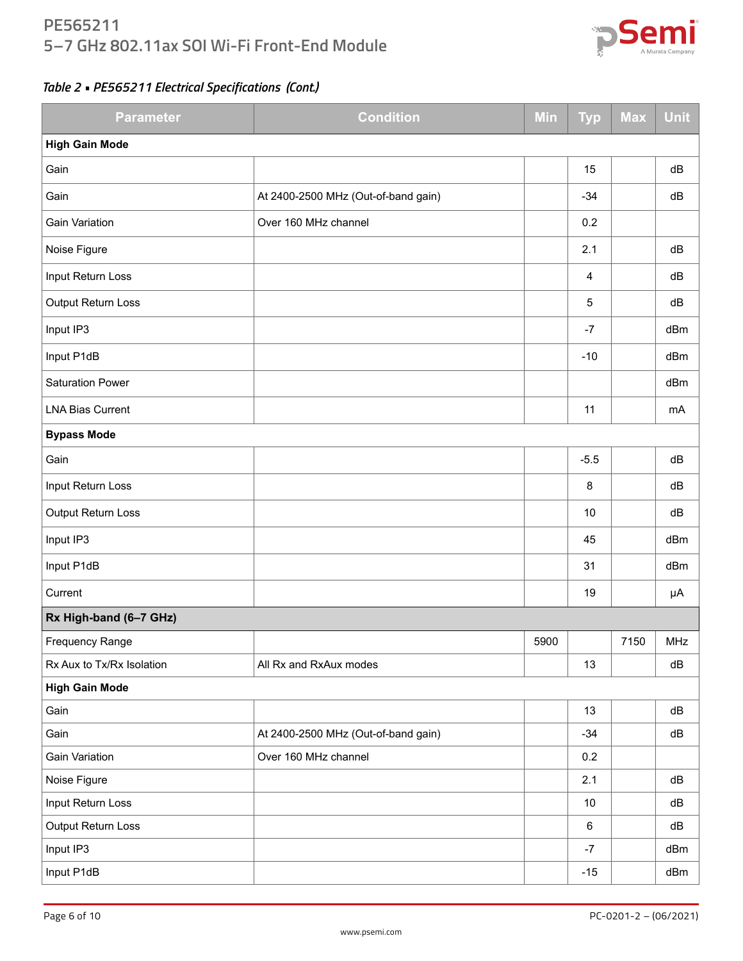### **PE565211 5–7 GHz 802.11ax SOI Wi-Fi Front-End Module**



| <b>Parameter</b>          | <b>Condition</b>                    | <b>Max</b> | <b>Unit</b> |      |            |
|---------------------------|-------------------------------------|------------|-------------|------|------------|
| <b>High Gain Mode</b>     |                                     |            |             |      |            |
| Gain                      |                                     |            | 15          |      | dB         |
| Gain                      | At 2400-2500 MHz (Out-of-band gain) |            | $-34$       |      | dB         |
| <b>Gain Variation</b>     | Over 160 MHz channel                |            | 0.2         |      |            |
| Noise Figure              |                                     |            | 2.1         |      | dB         |
| Input Return Loss         |                                     |            | 4           |      | dB         |
| Output Return Loss        |                                     |            | 5           |      | dB         |
| Input IP3                 |                                     |            | $-7$        |      | dBm        |
| Input P1dB                |                                     |            | $-10$       |      | dBm        |
| <b>Saturation Power</b>   |                                     |            |             |      | dBm        |
| <b>LNA Bias Current</b>   |                                     |            | 11          |      | mA         |
| <b>Bypass Mode</b>        |                                     |            |             |      |            |
| Gain                      |                                     |            | $-5.5$      |      | dB         |
| Input Return Loss         |                                     |            | $\bf 8$     |      | dB         |
| Output Return Loss        |                                     |            | 10          |      | dB         |
| Input IP3                 |                                     |            | 45          |      | dBm        |
| Input P1dB                |                                     |            | 31          |      | dBm        |
| Current                   |                                     |            | 19          |      | μA         |
| Rx High-band (6-7 GHz)    |                                     |            |             |      |            |
| <b>Frequency Range</b>    |                                     | 5900       |             | 7150 | <b>MHz</b> |
| Rx Aux to Tx/Rx Isolation | All Rx and RxAux modes              |            | 13          |      | dB         |
| <b>High Gain Mode</b>     |                                     |            |             |      |            |
| Gain                      |                                     |            | 13          |      | dB         |
| Gain                      | At 2400-2500 MHz (Out-of-band gain) |            | $-34$       |      | dB         |
| Gain Variation            | Over 160 MHz channel                |            | 0.2         |      |            |
| Noise Figure              |                                     |            | 2.1         |      | ${\sf dB}$ |
| Input Return Loss         |                                     |            | $10\,$      |      | dB         |
| Output Return Loss        |                                     |            | 6           |      | dB         |
| Input IP3                 |                                     |            | $-7$        |      | dBm        |
| Input P1dB                |                                     |            | $-15$       |      | dBm        |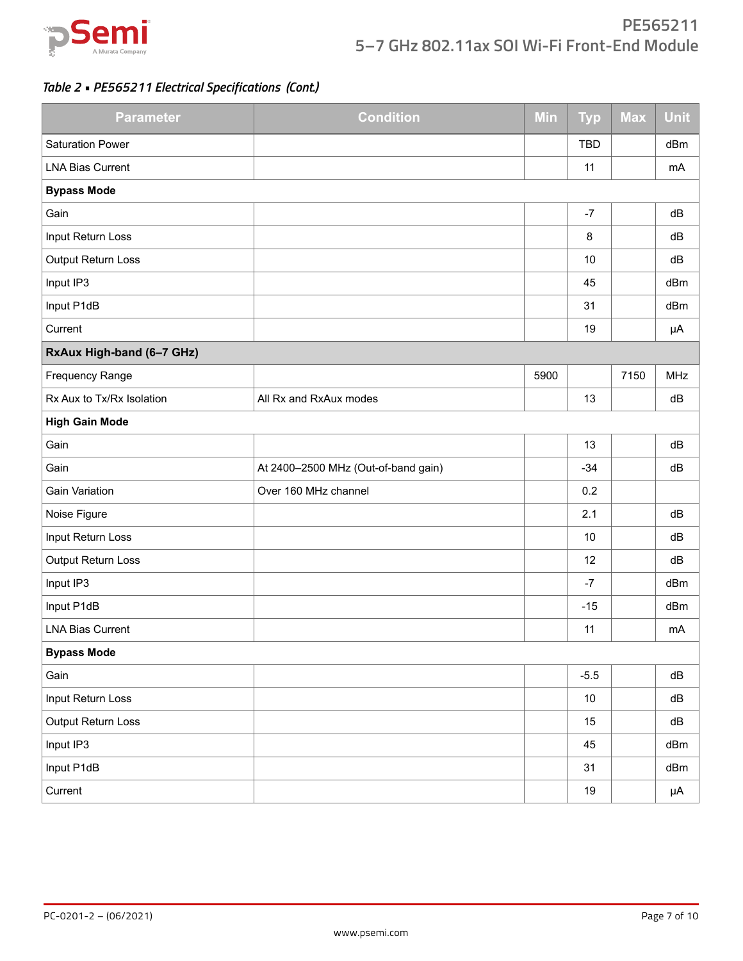

### **PE565211 5–7 GHz 802.11ax SOI Wi-Fi Front-End Module**

| <b>Parameter</b>          | <b>Condition</b>                    | Min  | <b>Typ</b> | <b>Max</b> | Unit       |
|---------------------------|-------------------------------------|------|------------|------------|------------|
| <b>Saturation Power</b>   |                                     |      | <b>TBD</b> |            | dBm        |
| <b>LNA Bias Current</b>   |                                     |      | 11         |            | mA         |
| <b>Bypass Mode</b>        |                                     |      |            |            |            |
| Gain                      |                                     |      | $-7$       |            | dB         |
| Input Return Loss         |                                     |      | 8          |            | dB         |
| Output Return Loss        |                                     |      | 10         |            | dB         |
| Input IP3                 |                                     |      | 45         |            | dBm        |
| Input P1dB                |                                     |      | 31         |            | dBm        |
| Current                   |                                     |      | 19         |            | μA         |
| RxAux High-band (6-7 GHz) |                                     |      |            |            |            |
| <b>Frequency Range</b>    |                                     | 5900 |            | 7150       | <b>MHz</b> |
| Rx Aux to Tx/Rx Isolation | All Rx and RxAux modes              |      | 13         |            | dB         |
| <b>High Gain Mode</b>     |                                     |      |            |            |            |
| Gain                      |                                     |      | 13         |            | dB         |
| Gain                      | At 2400-2500 MHz (Out-of-band gain) |      | $-34$      |            | dB         |
| <b>Gain Variation</b>     | Over 160 MHz channel                |      | 0.2        |            |            |
| Noise Figure              |                                     |      | 2.1        |            | dB         |
| Input Return Loss         |                                     |      | 10         |            | dB         |
| Output Return Loss        |                                     |      | 12         |            | dB         |
| Input IP3                 |                                     |      | $-7$       |            | dBm        |
| Input P1dB                |                                     |      | $-15$      |            | dBm        |
| <b>LNA Bias Current</b>   |                                     |      | 11         |            | mA         |
| <b>Bypass Mode</b>        |                                     |      |            |            |            |
| Gain                      |                                     |      | $-5.5$     |            | dB         |
| Input Return Loss         |                                     |      | $10\,$     |            | ${\sf dB}$ |
| Output Return Loss        |                                     |      | 15         |            | ${\sf dB}$ |
| Input IP3                 |                                     |      | 45         |            | dBm        |
| Input P1dB                |                                     |      | 31         |            | dBm        |
| Current                   |                                     |      | 19         |            | μA         |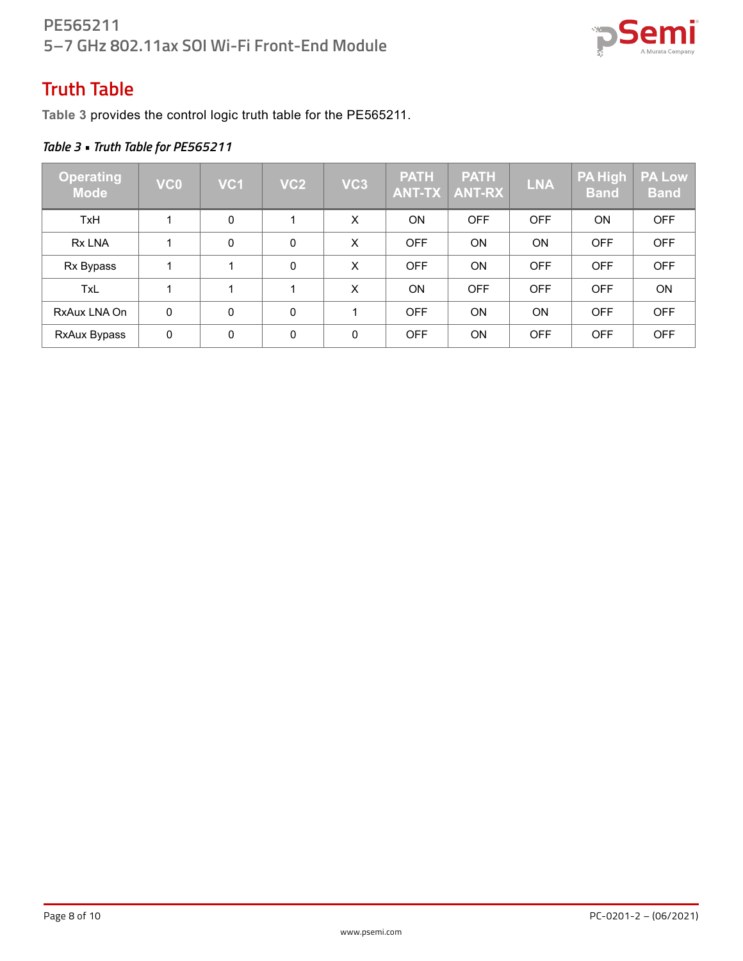

## **Truth Table**

**Table 3** provides the control logic truth table for the PE565211.

### *Table 3 • Truth Table for PE565211*

| Operating<br><b>Mode</b> | VC <sub>0</sub> | VC <sub>1</sub> | VC <sub>2</sub> | VC <sub>3</sub> | <b>PATH</b><br><b>ANT-TX</b> | <b>PATH</b><br><b>ANT-RX</b> | <b>LNA</b> | <b>PA High</b><br><b>Band</b> | <b>PA Low</b><br><b>Band</b> |
|--------------------------|-----------------|-----------------|-----------------|-----------------|------------------------------|------------------------------|------------|-------------------------------|------------------------------|
| <b>TxH</b>               |                 | $\Omega$        |                 | X               | <b>ON</b>                    | <b>OFF</b>                   | <b>OFF</b> | <b>ON</b>                     | <b>OFF</b>                   |
| Rx LNA                   | 1               | $\mathbf{0}$    | $\Omega$        | X               | <b>OFF</b>                   | <b>ON</b>                    | ON         | <b>OFF</b>                    | <b>OFF</b>                   |
| Rx Bypass                |                 |                 | $\Omega$        | X               | <b>OFF</b>                   | <b>ON</b>                    | <b>OFF</b> | <b>OFF</b>                    | <b>OFF</b>                   |
| <b>TxL</b>               | 1               |                 |                 | X               | <b>ON</b>                    | <b>OFF</b>                   | <b>OFF</b> | <b>OFF</b>                    | <b>ON</b>                    |
| RxAux LNA On             | $\mathbf 0$     | $\mathbf{0}$    | $\mathbf{0}$    | 1               | <b>OFF</b>                   | <b>ON</b>                    | ON         | <b>OFF</b>                    | <b>OFF</b>                   |
| RxAux Bypass             | 0               | 0               | $\mathbf{0}$    | 0               | <b>OFF</b>                   | <b>ON</b>                    | <b>OFF</b> | <b>OFF</b>                    | <b>OFF</b>                   |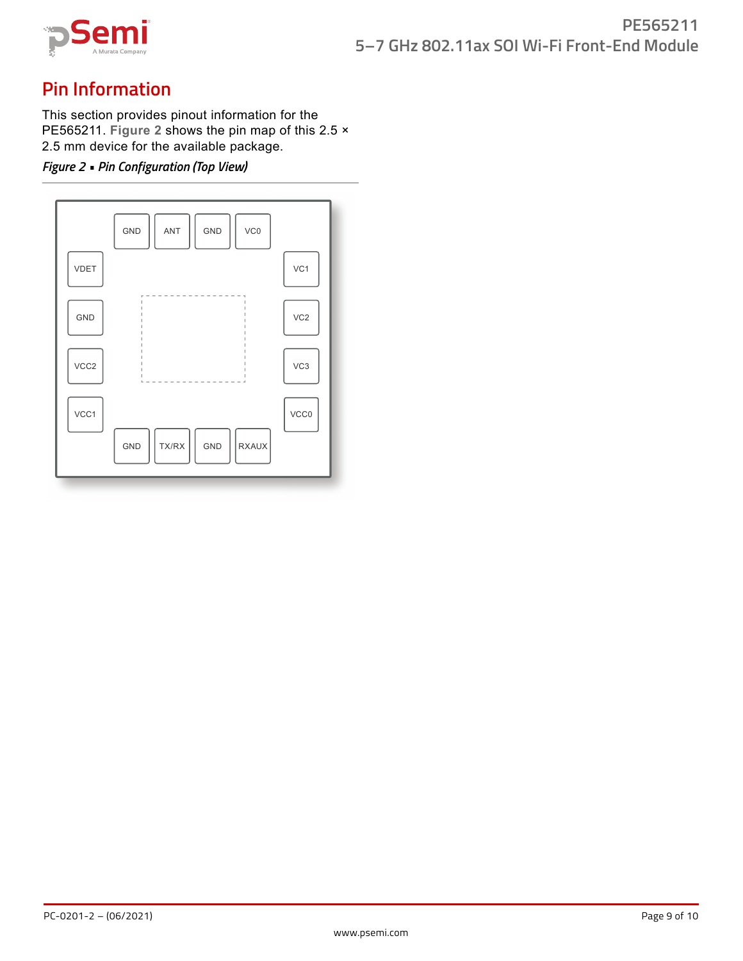

## **Pin Information**

This section provides pinout information for the PE565211. **Figure 2** shows the pin map of this 2.5 × 2.5 mm device for the available package.

#### *Figure 2 • Pin Configuration (Top View)*